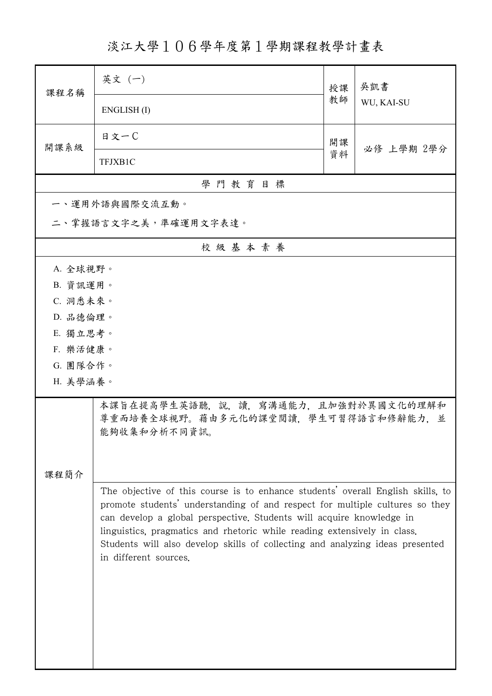淡江大學106學年度第1學期課程教學計畫表

| 課程名稱                                                                                                                                                                                                                                                                                                                                                                                                                          | 英文(一)                                                                                      | 授課 | 吳凱書        |  |
|-------------------------------------------------------------------------------------------------------------------------------------------------------------------------------------------------------------------------------------------------------------------------------------------------------------------------------------------------------------------------------------------------------------------------------|--------------------------------------------------------------------------------------------|----|------------|--|
|                                                                                                                                                                                                                                                                                                                                                                                                                               | ENGLISH(I)                                                                                 | 教師 | WU, KAI-SU |  |
| 開課系級                                                                                                                                                                                                                                                                                                                                                                                                                          | 日文一C                                                                                       | 開課 | 必修 上學期 2學分 |  |
|                                                                                                                                                                                                                                                                                                                                                                                                                               | TFJXB1C                                                                                    | 資料 |            |  |
| 學門教育目標                                                                                                                                                                                                                                                                                                                                                                                                                        |                                                                                            |    |            |  |
|                                                                                                                                                                                                                                                                                                                                                                                                                               | 一、運用外語與國際交流互動。                                                                             |    |            |  |
| 二、掌握語言文字之美,準確運用文字表達。                                                                                                                                                                                                                                                                                                                                                                                                          |                                                                                            |    |            |  |
|                                                                                                                                                                                                                                                                                                                                                                                                                               | 校級基本素養                                                                                     |    |            |  |
| A. 全球視野。                                                                                                                                                                                                                                                                                                                                                                                                                      |                                                                                            |    |            |  |
| B. 資訊運用。                                                                                                                                                                                                                                                                                                                                                                                                                      |                                                                                            |    |            |  |
| C. 洞悉未來。                                                                                                                                                                                                                                                                                                                                                                                                                      |                                                                                            |    |            |  |
| D. 品德倫理。                                                                                                                                                                                                                                                                                                                                                                                                                      |                                                                                            |    |            |  |
| E. 獨立思考。                                                                                                                                                                                                                                                                                                                                                                                                                      |                                                                                            |    |            |  |
| F. 樂活健康。                                                                                                                                                                                                                                                                                                                                                                                                                      |                                                                                            |    |            |  |
| G. 團隊合作。<br>H. 美學涵養。                                                                                                                                                                                                                                                                                                                                                                                                          |                                                                                            |    |            |  |
|                                                                                                                                                                                                                                                                                                                                                                                                                               |                                                                                            |    |            |  |
|                                                                                                                                                                                                                                                                                                                                                                                                                               | 本課旨在提高學生英語聽,說,讀,寫溝通能力,且加強對於異國文化的理解和<br>尊重而培養全球視野。藉由多元化的課堂閱讀,學生可習得語言和修辭能力,並<br>能夠收集和分析不同資訊。 |    |            |  |
|                                                                                                                                                                                                                                                                                                                                                                                                                               |                                                                                            |    |            |  |
| 課程簡介                                                                                                                                                                                                                                                                                                                                                                                                                          |                                                                                            |    |            |  |
| The objective of this course is to enhance students' overall English skills, to<br>promote students' understanding of and respect for multiple cultures so they<br>can develop a global perspective. Students will acquire knowledge in<br>linguistics, pragmatics and rhetoric while reading extensively in class.<br>Students will also develop skills of collecting and analyzing ideas presented<br>in different sources. |                                                                                            |    |            |  |
|                                                                                                                                                                                                                                                                                                                                                                                                                               |                                                                                            |    |            |  |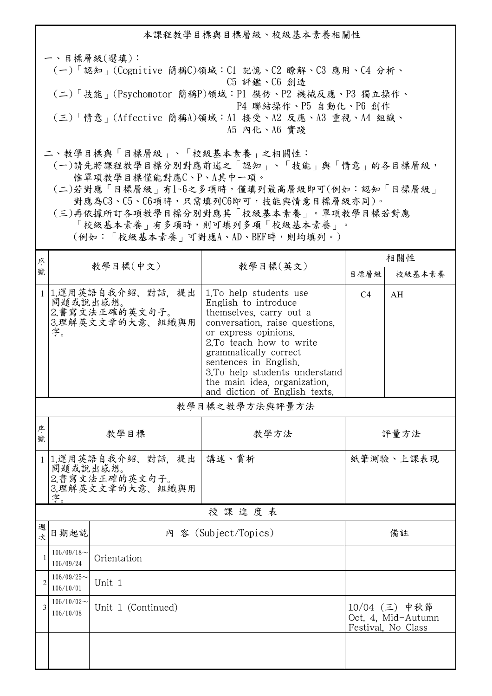本課程教學目標與目標層級、校級基本素養相關性 一、目標層級(選填): (一)「認知」(Cognitive 簡稱C)領域:C1 記憶、C2 瞭解、C3 應用、C4 分析、 C5 評鑑、C6 創造 (二)「技能」(Psychomotor 簡稱P)領域:P1 模仿、P2 機械反應、P3 獨立操作、 P4 聯結操作、P5 自動化、P6 創作 (三)「情意」(Affective 簡稱A)領域:A1 接受、A2 反應、A3 重視、A4 組織、 A5 內化、A6 實踐 二、教學目標與「目標層級」、「校級基本素養」之相關性:

 (一)請先將課程教學目標分別對應前述之「認知」、「技能」與「情意」的各目標層級, 惟單項教學目標僅能對應C、P、A其中一項。

 (二)若對應「目標層級」有1~6之多項時,僅填列最高層級即可(例如:認知「目標層級」 對應為C3、C5、C6項時,只需填列C6即可,技能與情意目標層級亦同)。

 (三)再依據所訂各項教學目標分別對應其「校級基本素養」。單項教學目標若對應 「校級基本素養」有多項時,則可填列多項「校級基本素養」。 (例如:「校級基本素養」可對應A、AD、BEF時,則均填列。)

| 序              | 教學目標(中文)                                         |                                                           |                                                                                                                                                                                                                                                                                                                     | 相關性            |                                                           |  |  |
|----------------|--------------------------------------------------|-----------------------------------------------------------|---------------------------------------------------------------------------------------------------------------------------------------------------------------------------------------------------------------------------------------------------------------------------------------------------------------------|----------------|-----------------------------------------------------------|--|--|
| 號              |                                                  |                                                           | 教學目標(英文)                                                                                                                                                                                                                                                                                                            | 目標層級           | 校級基本素養                                                    |  |  |
|                | 問題或說出感想。<br>字。                                   | 1 1.運用英語自我介紹、對話、提出<br>2. 書寫文法正確的英文句子。<br>3.理解英文文章的大意、組織與用 | 1. To help students use<br>English to introduce<br>themselves, carry out a<br>conversation, raise questions.<br>or express opinions.<br>2.To teach how to write<br>grammatically correct<br>sentences in English.<br>3.To help students understand<br>the main idea, organization,<br>and diction of English texts. | C <sub>4</sub> | AH                                                        |  |  |
|                | 教學目標之教學方法與評量方法                                   |                                                           |                                                                                                                                                                                                                                                                                                                     |                |                                                           |  |  |
| 序<br>號         |                                                  | 教學目標                                                      | 教學方法                                                                                                                                                                                                                                                                                                                | 評量方法           |                                                           |  |  |
|                | 問題或說出感想。<br>字。                                   | 1 1.運用英語自我介紹、對話、提出<br>2.書寫文法正確的英文句子。<br>3.理解英文文章的大意、組織與用  | 講述、賞析                                                                                                                                                                                                                                                                                                               | 紙筆測驗、上課表現      |                                                           |  |  |
|                | 授課進度表                                            |                                                           |                                                                                                                                                                                                                                                                                                                     |                |                                                           |  |  |
| 週<br>次         | 日期起訖                                             |                                                           | 內 容 (Subject/Topics)                                                                                                                                                                                                                                                                                                |                | 備註                                                        |  |  |
| $\mathbf{1}$   | $106/09/18$ ~<br>106/09/24                       | Orientation                                               |                                                                                                                                                                                                                                                                                                                     |                |                                                           |  |  |
| $\overline{2}$ | $106/09/25$ ~<br>106/10/01                       | Unit 1                                                    |                                                                                                                                                                                                                                                                                                                     |                |                                                           |  |  |
| $\overline{3}$ | $106/10/02$ ~<br>Unit 1 (Continued)<br>106/10/08 |                                                           |                                                                                                                                                                                                                                                                                                                     |                | 10/04 (三) 中秋節<br>Oct. 4, Mid-Autumn<br>Festival, No Class |  |  |
|                |                                                  |                                                           |                                                                                                                                                                                                                                                                                                                     |                |                                                           |  |  |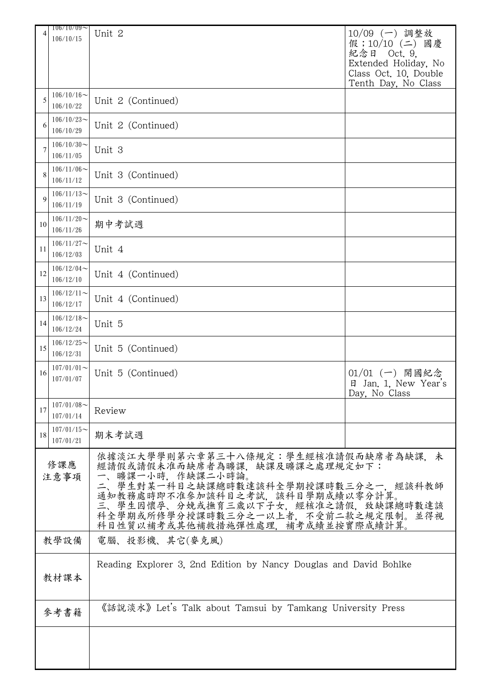| 4                      | $106/10/09$ ~                 | Unit 2                                                                         | 10/09 (一) 調整放                            |
|------------------------|-------------------------------|--------------------------------------------------------------------------------|------------------------------------------|
|                        | 106/10/15                     |                                                                                | 假;10/10 (二) 國慶                           |
|                        |                               |                                                                                | 紀念日<br>Oct. 9,<br>Extended Holiday, No   |
|                        |                               |                                                                                | Class Oct. 10, Double                    |
|                        |                               |                                                                                | Tenth Day, No Class                      |
| 5                      | $106/10/16$ ~<br>106/10/22    | Unit 2 (Continued)                                                             |                                          |
|                        | $106/10/23$ ~                 |                                                                                |                                          |
| 6                      | 106/10/29                     | Unit 2 (Continued)                                                             |                                          |
| $\overline{7}$         | $106/10/30$ ~                 | Unit 3                                                                         |                                          |
|                        | 106/11/05                     |                                                                                |                                          |
| 8                      | $106/11/06 \sim$<br>106/11/12 | Unit 3 (Continued)                                                             |                                          |
|                        | $106/11/13$ ~                 |                                                                                |                                          |
| 9                      | 106/11/19                     | Unit 3 (Continued)                                                             |                                          |
| 10                     | $106/11/20$ ~                 | 期中考試週                                                                          |                                          |
|                        | 106/11/26                     |                                                                                |                                          |
| 11                     | $106/11/27$ ~<br>106/12/03    | Unit 4                                                                         |                                          |
|                        | $106/12/04$ ~                 |                                                                                |                                          |
| 12                     | 106/12/10                     | Unit 4 (Continued)                                                             |                                          |
| 13                     | $106/12/11$ ~                 | Unit 4 (Continued)                                                             |                                          |
|                        | 106/12/17                     |                                                                                |                                          |
| 14                     | $106/12/18$ ~                 | Unit 5                                                                         |                                          |
|                        | 106/12/24<br>$106/12/25$ ~    |                                                                                |                                          |
| 15                     | 106/12/31                     | Unit 5 (Continued)                                                             |                                          |
| 16                     | $107/01/01$ ~                 |                                                                                |                                          |
|                        | 107/01/07                     | Unit 5 (Continued)                                                             | $01/01$ (一) 開國紀念<br>日 Jan. 1. New Year's |
|                        |                               |                                                                                | Day, No Class                            |
| 17                     | $107/01/08$ ~<br>107/01/14    | Review                                                                         |                                          |
|                        | $107/01/15$ ~                 |                                                                                |                                          |
| 18                     | 107/01/21                     | 期末考試週                                                                          |                                          |
|                        |                               | 依據淡江大學學則第六章第三十八條規定:學生經核准請假而缺席者為缺課,未                                            |                                          |
|                        | 修課應<br>注意事項                   | 經請假或請假未准而缺席者為曠課、缺課及曠課之處理規定如下:<br>曠課一小時,作缺課二小時論。                                |                                          |
|                        |                               | 學生對某一科目之缺課總時數達該科全學期授課時數三分之一,經該科教師                                              |                                          |
|                        |                               | 通知教務處時即不准參加該科目之考試,該科目學期成績以零分計算。                                                |                                          |
|                        |                               | 學生因懷孕、分娩或撫育三歲以下子女,經核准之請假,致缺課總時數達該<br>三、<br>科全學期或所修學分授課時數三分之一以上者,不受前二款之規定限制。並得視 |                                          |
|                        |                               | 科目性質以補考或其他補救措施彈性處理,補考成績並按實際成績計算。                                               |                                          |
| 教學設備<br>電腦、投影機、其它(麥克風) |                               |                                                                                |                                          |
|                        |                               |                                                                                |                                          |
|                        | 教材課本                          | Reading Explorer 3, 2nd Edition by Nancy Douglas and David Bohlke              |                                          |
|                        |                               |                                                                                |                                          |
|                        |                               | 《話說淡水》 Let's Talk about Tamsui by Tamkang University Press                     |                                          |
|                        | 參考書籍                          |                                                                                |                                          |
|                        |                               |                                                                                |                                          |
|                        |                               |                                                                                |                                          |
|                        |                               |                                                                                |                                          |